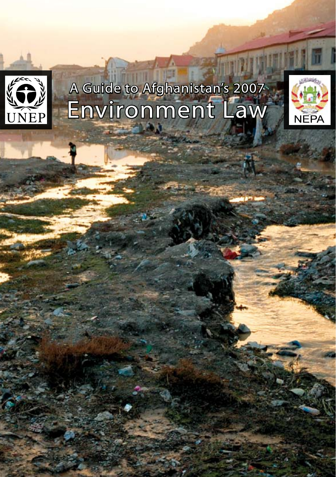

# A Guide to Afghanistan's 2007 Environment Law

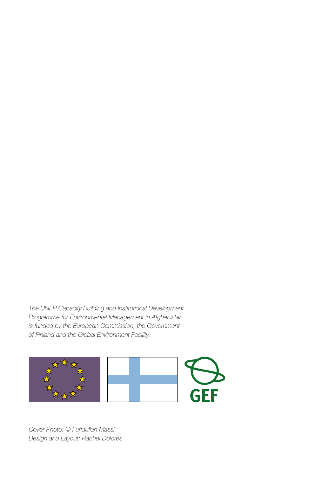*The UNEP Capacity Building and Institutional Development Programme for Environmental Management in Afghanistan is funded by the European Commission, the Government of Finland and the Global Environment Facility.*



*Cover Photo: © Faridullah Massi Design and Layout: Rachel Dolores*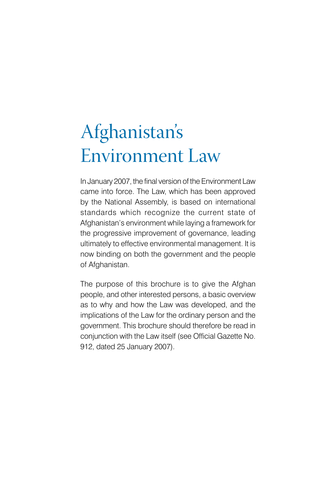# Afghanistan's Environment Law

In January 2007, the final version of the Environment Law came into force. The Law, which has been approved by the National Assembly, is based on international standards which recognize the current state of Afghanistan's environment while laying a framework for the progressive improvement of governance, leading ultimately to effective environmental management. It is now binding on both the government and the people of Afghanistan.

The purpose of this brochure is to give the Afghan people, and other interested persons, a basic overview as to why and how the Law was developed, and the implications of the Law for the ordinary person and the government. This brochure should therefore be read in conjunction with the Law itself (see Official Gazette No. 912, dated 25 January 2007).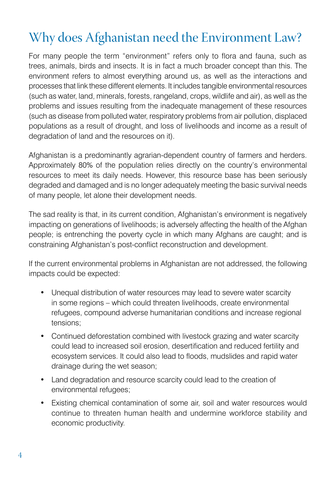# Why does Afghanistan need the Environment Law?

For many people the term "environment" refers only to flora and fauna, such as trees, animals, birds and insects. It is in fact a much broader concept than this. The environment refers to almost everything around us, as well as the interactions and processes that link these different elements. It includes tangible environmental resources (such as water, land, minerals, forests, rangeland, crops, wildlife and air), as well as the problems and issues resulting from the inadequate management of these resources (such as disease from polluted water, respiratory problems from air pollution, displaced populations as a result of drought, and loss of livelihoods and income as a result of degradation of land and the resources on it).

Afghanistan is a predominantly agrarian-dependent country of farmers and herders. Approximately 80% of the population relies directly on the country's environmental resources to meet its daily needs. However, this resource base has been seriously degraded and damaged and is no longer adequately meeting the basic survival needs of many people, let alone their development needs.

The sad reality is that, in its current condition, Afghanistan's environment is negatively impacting on generations of livelihoods; is adversely affecting the health of the Afghan people; is entrenching the poverty cycle in which many Afghans are caught; and is constraining Afghanistan's post-conflict reconstruction and development.

If the current environmental problems in Afghanistan are not addressed, the following impacts could be expected:

- Unequal distribution of water resources may lead to severe water scarcity in some regions – which could threaten livelihoods, create environmental refugees, compound adverse humanitarian conditions and increase regional tensions;
- Continued deforestation combined with livestock grazing and water scarcity could lead to increased soil erosion, desertification and reduced fertility and ecosystem services. It could also lead to floods, mudslides and rapid water drainage during the wet season;
- Land degradation and resource scarcity could lead to the creation of environmental refugees;
- Existing chemical contamination of some air, soil and water resources would continue to threaten human health and undermine workforce stability and economic productivity.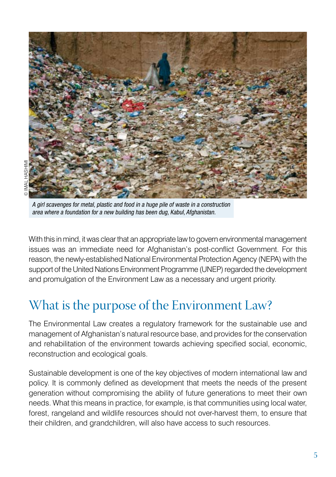

A girl scavenges for metal, plastic and food in a huge pile of waste in a construction area where a foundation for a new building has been dug, Kabul, Afghanistan.

With this in mind, it was clear that an appropriate law to govern environmental management issues was an immediate need for Afghanistan's post-conflict Government. For this reason, the newly-established National Environmental Protection Agency (NEPA) with the support of the United Nations Environment Programme (UNEP) regarded the development and promulgation of the Environment Law as a necessary and urgent priority.

#### What is the purpose of the Environment Law?

The Environmental Law creates a regulatory framework for the sustainable use and management of Afghanistan's natural resource base, and provides for the conservation and rehabilitation of the environment towards achieving specified social, economic, reconstruction and ecological goals.

Sustainable development is one of the key objectives of modern international law and policy. It is commonly defined as development that meets the needs of the present generation without compromising the ability of future generations to meet their own needs. What this means in practice, for example, is that communities using local water, forest, rangeland and wildlife resources should not over-harvest them, to ensure that their children, and grandchildren, will also have access to such resources.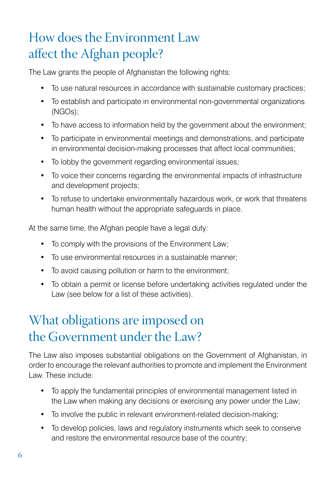# How does the Environment Law affect the Afghan people?

The Law grants the people of Afghanistan the following rights:

- To use natural resources in accordance with sustainable customary practices;
- To establish and participate in environmental non-governmental organizations (NGOs);
- To have access to information held by the government about the environment;
- To participate in environmental meetings and demonstrations, and participate in environmental decision-making processes that affect local communities;
- To lobby the government regarding environmental issues;
- To voice their concerns regarding the environmental impacts of infrastructure and development projects;
- To refuse to undertake environmentally hazardous work, or work that threatens human health without the appropriate safeguards in place.

At the same time, the Afghan people have a legal duty:

- To comply with the provisions of the Environment Law;
- To use environmental resources in a sustainable manner;
- To avoid causing pollution or harm to the environment;
- To obtain a permit or license before undertaking activities regulated under the Law (see below for a list of these activities).

# What obligations are imposed on the Government under the Law?

The Law also imposes substantial obligations on the Government of Afghanistan, in order to encourage the relevant authorities to promote and implement the Environment Law. These include:

- To apply the fundamental principles of environmental management listed in the Law when making any decisions or exercising any power under the Law;
- To involve the public in relevant environment-related decision-making;
- To develop policies, laws and regulatory instruments which seek to conserve and restore the environmental resource base of the country;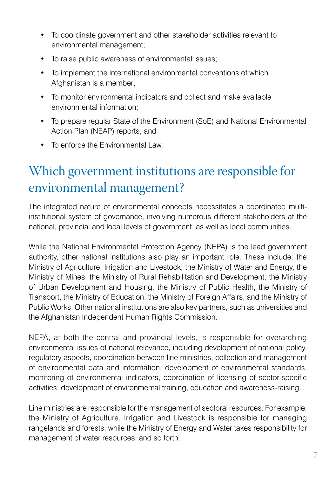- To coordinate government and other stakeholder activities relevant to environmental management;
- To raise public awareness of environmental issues;
- To implement the international environmental conventions of which Afghanistan is a member;
- To monitor environmental indicators and collect and make available environmental information;
- To prepare regular State of the Environment (SoE) and National Environmental Action Plan (NEAP) reports; and
- To enforce the Environmental Law.

### Which government institutions are responsible for environmental management?

The integrated nature of environmental concepts necessitates a coordinated multiinstitutional system of governance, involving numerous different stakeholders at the national, provincial and local levels of government, as well as local communities.

While the National Environmental Protection Agency (NEPA) is the lead government authority, other national institutions also play an important role. These include: the Ministry of Agriculture, Irrigation and Livestock, the Ministry of Water and Energy, the Ministry of Mines, the Ministry of Rural Rehabilitation and Development, the Ministry of Urban Development and Housing, the Ministry of Public Health, the Ministry of Transport, the Ministry of Education, the Ministry of Foreign Affairs, and the Ministry of Public Works. Other national institutions are also key partners, such as universities and the Afghanistan Independent Human Rights Commission.

NEPA, at both the central and provincial levels, is responsible for overarching environmental issues of national relevance, including development of national policy, regulatory aspects, coordination between line ministries, collection and management of environmental data and information, development of environmental standards, monitoring of environmental indicators, coordination of licensing of sector-specific activities, development of environmental training, education and awareness-raising.

Line ministries are responsible for the management of sectoral resources. For example, the Ministry of Agriculture, Irrigation and Livestock is responsible for managing rangelands and forests, while the Ministry of Energy and Water takes responsibility for management of water resources, and so forth.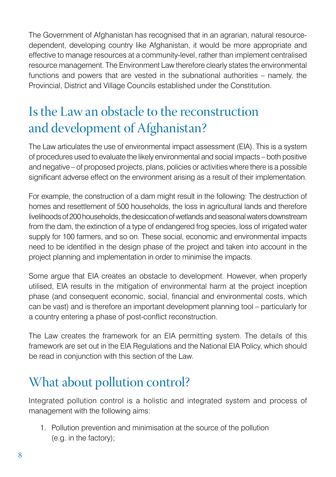The Government of Afghanistan has recognised that in an agrarian, natural resourcedependent, developing country like Afghanistan, it would be more appropriate and effective to manage resources at a community-level, rather than implement centralised resource management. The Environment Law therefore clearly states the environmental functions and powers that are vested in the subnational authorities – namely, the Provincial, District and Village Councils established under the Constitution.

## Is the Law an obstacle to the reconstruction and development of Afghanistan?

The Law articulates the use of environmental impact assessment (EIA). This is a system of procedures used to evaluate the likely environmental and social impacts – both positive and negative – of proposed projects, plans, policies or activities where there is a possible significant adverse effect on the environment arising as a result of their implementation.

For example, the construction of a dam might result in the following: The destruction of homes and resettlement of 500 households, the loss in agricultural lands and therefore livelihoods of 200 households, the desiccation of wetlands and seasonal waters downstream from the dam, the extinction of a type of endangered frog species, loss of irrigated water supply for 100 farmers, and so on. These social, economic and environmental impacts need to be identified in the design phase of the project and taken into account in the project planning and implementation in order to minimise the impacts.

Some argue that EIA creates an obstacle to development. However, when properly utilised, EIA results in the mitigation of environmental harm at the project inception phase (and consequent economic, social, financial and environmental costs, which can be vast) and is therefore an important development planning tool – particularly for a country entering a phase of post-conflict reconstruction.

The Law creates the framework for an EIA permitting system. The details of this framework are set out in the EIA Regulations and the National EIA Policy, which should be read in conjunction with this section of the Law.

# What about pollution control?

Integrated pollution control is a holistic and integrated system and process of management with the following aims:

1. Pollution prevention and minimisation at the source of the pollution (e.g. in the factory);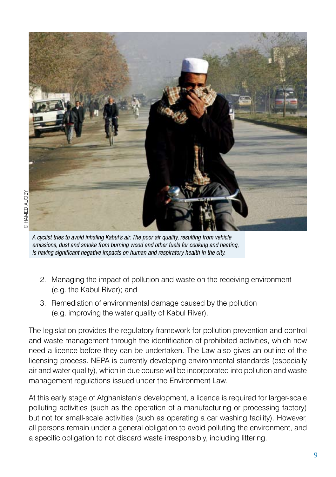

A cyclist tries to avoid inhaling Kabul's air. The poor air quality, resulting from vehicle emissions, dust and smoke from burning wood and other fuels for cooking and heating, is having significant negative impacts on human and respiratory health in the city.

- 2. Managing the impact of pollution and waste on the receiving environment (e.g. the Kabul River); and
- 3. Remediation of environmental damage caused by the pollution (e.g. improving the water quality of Kabul River).

The legislation provides the regulatory framework for pollution prevention and control and waste management through the identification of prohibited activities, which now need a licence before they can be undertaken. The Law also gives an outline of the licensing process. NEPA is currently developing environmental standards (especially air and water quality), which in due course will be incorporated into pollution and waste management regulations issued under the Environment Law.

At this early stage of Afghanistan's development, a licence is required for larger-scale polluting activities (such as the operation of a manufacturing or processing factory) but not for small-scale activities (such as operating a car washing facility). However, all persons remain under a general obligation to avoid polluting the environment, and a specific obligation to not discard waste irresponsibly, including littering.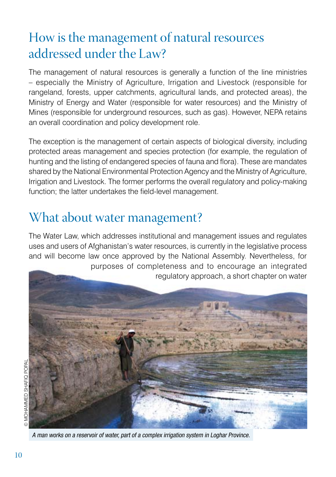# How is the management of natural resources addressed under the Law?

The management of natural resources is generally a function of the line ministries – especially the Ministry of Agriculture, Irrigation and Livestock (responsible for rangeland, forests, upper catchments, agricultural lands, and protected areas), the Ministry of Energy and Water (responsible for water resources) and the Ministry of Mines (responsible for underground resources, such as gas). However, NEPA retains an overall coordination and policy development role.

The exception is the management of certain aspects of biological diversity, including protected areas management and species protection (for example, the regulation of hunting and the listing of endangered species of fauna and flora). These are mandates shared by the National Environmental Protection Agency and the Ministry of Agriculture, Irrigation and Livestock. The former performs the overall regulatory and policy-making function; the latter undertakes the field-level management.

#### What about water management?

The Water Law, which addresses institutional and management issues and regulates uses and users of Afghanistan's water resources, is currently in the legislative process and will become law once approved by the National Assembly. Nevertheless, for purposes of completeness and to encourage an integrated regulatory approach, a short chapter on water



A man works on a reservoir of water, part of a complex irrigation system in Loghar Province.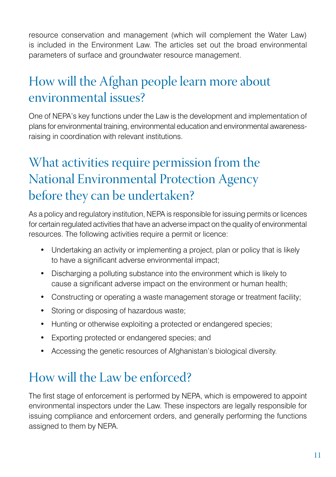resource conservation and management (which will complement the Water Law) is included in the Environment Law. The articles set out the broad environmental parameters of surface and groundwater resource management.

# How will the Afghan people learn more about environmental issues?

One of NEPA's key functions under the Law is the development and implementation of plans for environmental training, environmental education and environmental awarenessraising in coordination with relevant institutions.

### What activities require permission from the National Environmental Protection Agency before they can be undertaken?

As a policy and regulatory institution, NEPA is responsible for issuing permits or licences for certain regulated activities that have an adverse impact on the quality of environmental resources. The following activities require a permit or licence:

- Undertaking an activity or implementing a project, plan or policy that is likely to have a significant adverse environmental impact;
- Discharging a polluting substance into the environment which is likely to cause a significant adverse impact on the environment or human health;
- Constructing or operating a waste management storage or treatment facility;
- Storing or disposing of hazardous waste;
- Hunting or otherwise exploiting a protected or endangered species;
- Exporting protected or endangered species; and
- Accessing the genetic resources of Afghanistan's biological diversity.

# How will the Law be enforced?

The first stage of enforcement is performed by NEPA, which is empowered to appoint environmental inspectors under the Law. These inspectors are legally responsible for issuing compliance and enforcement orders, and generally performing the functions assigned to them by NEPA.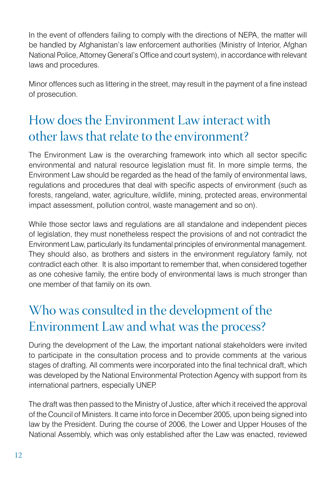In the event of offenders failing to comply with the directions of NEPA, the matter will be handled by Afghanistan's law enforcement authorities (Ministry of Interior, Afghan National Police, Attorney General's Office and court system), in accordance with relevant laws and procedures.

Minor offences such as littering in the street, may result in the payment of a fine instead of prosecution.

# How does the Environment Law interact with other laws that relate to the environment?

The Environment Law is the overarching framework into which all sector specific environmental and natural resource legislation must fit. In more simple terms, the Environment Law should be regarded as the head of the family of environmental laws, regulations and procedures that deal with specific aspects of environment (such as forests, rangeland, water, agriculture, wildlife, mining, protected areas, environmental impact assessment, pollution control, waste management and so on).

While those sector laws and regulations are all standalone and independent pieces of legislation, they must nonetheless respect the provisions of and not contradict the Environment Law, particularly its fundamental principles of environmental management. They should also, as brothers and sisters in the environment regulatory family, not contradict each other. It is also important to remember that, when considered together as one cohesive family, the entire body of environmental laws is much stronger than one member of that family on its own.

# Who was consulted in the development of the Environment Law and what was the process?

During the development of the Law, the important national stakeholders were invited to participate in the consultation process and to provide comments at the various stages of drafting. All comments were incorporated into the final technical draft, which was developed by the National Environmental Protection Agency with support from its international partners, especially UNEP.

The draft was then passed to the Ministry of Justice, after which it received the approval of the Council of Ministers. It came into force in December 2005, upon being signed into law by the President. During the course of 2006, the Lower and Upper Houses of the National Assembly, which was only established after the Law was enacted, reviewed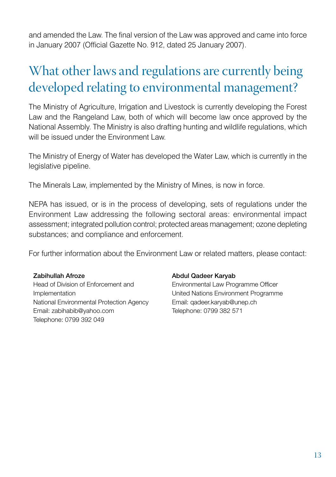and amended the Law. The final version of the Law was approved and came into force in January 2007 (Official Gazette No. 912, dated 25 January 2007).

# What other laws and regulations are currently being developed relating to environmental management?

The Ministry of Agriculture, Irrigation and Livestock is currently developing the Forest Law and the Rangeland Law, both of which will become law once approved by the National Assembly. The Ministry is also drafting hunting and wildlife regulations, which will be issued under the Environment Law.

The Ministry of Energy of Water has developed the Water Law, which is currently in the legislative pipeline.

The Minerals Law, implemented by the Ministry of Mines, is now in force.

NEPA has issued, or is in the process of developing, sets of regulations under the Environment Law addressing the following sectoral areas: environmental impact assessment; integrated pollution control; protected areas management; ozone depleting substances; and compliance and enforcement.

For further information about the Environment Law or related matters, please contact:

#### Zabihullah Afroze

Head of Division of Enforcement and Implementation National Environmental Protection Agency Email: zabihabib@yahoo.com Telephone: 0799 392 049

#### Abdul Qadeer Karyab

Environmental Law Programme Officer United Nations Environment Programme Email: qadeer.karyab@unep.ch Telephone: 0799 382 571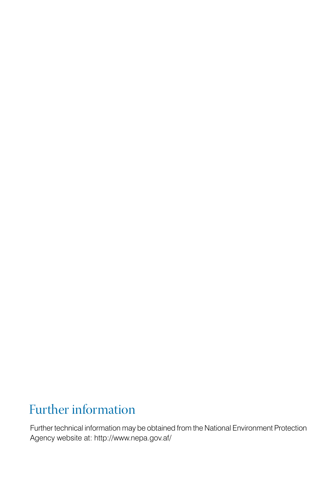# Further information

Further technical information may be obtained from the National Environment Protection Agency website at: http://www.nepa.gov.af/